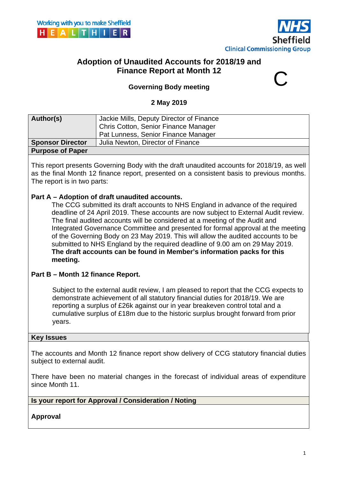



# **Adoption of Unaudited Accounts for 2018/19 and Finance Report at Month 12**

# **Governing Body meeting**

#### **2 May 2019**

| Author(s)               | Jackie Mills, Deputy Director of Finance<br>Chris Cotton, Senior Finance Manager |
|-------------------------|----------------------------------------------------------------------------------|
|                         | Pat Lunness, Senior Finance Manager                                              |
| <b>Sponsor Director</b> | Julia Newton, Director of Finance                                                |
| <b>Purpose of Paper</b> |                                                                                  |

This report presents Governing Body with the draft unaudited accounts for 2018/19, as well as the final Month 12 finance report, presented on a consistent basis to previous months. The report is in two parts:

#### **Part A – Adoption of draft unaudited accounts.**

 submitted to NHS England by the required deadline of 9.00 am on 29 May 2019. The CCG submitted its draft accounts to NHS England in advance of the required deadline of 24 April 2019. These accounts are now subject to External Audit review. The final audited accounts will be considered at a meeting of the Audit and Integrated Governance Committee and presented for formal approval at the meeting of the Governing Body on 23 May 2019. This will allow the audited accounts to be **The draft accounts can be found in Member's information packs for this meeting.** 

#### **Part B – Month 12 finance Report.**

Subject to the external audit review, I am pleased to report that the CCG expects to demonstrate achievement of all statutory financial duties for 2018/19. We are reporting a surplus of £26k against our in year breakeven control total and a cumulative surplus of £18m due to the historic surplus brought forward from prior years.

#### **Key Issues**

The accounts and Month 12 finance report show delivery of CCG statutory financial duties subject to external audit.

There have been no material changes in the forecast of individual areas of expenditure since Month 11.

#### **Is your report for Approval / Consideration / Noting**

**Approval**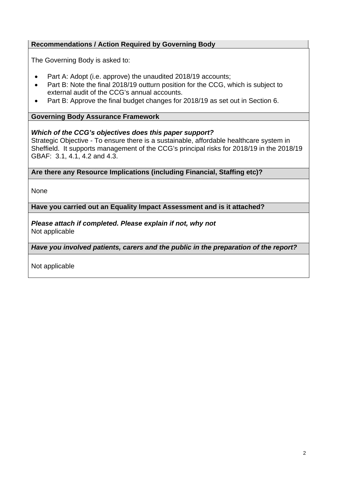# **Recommendations / Action Required by Governing Body**

The Governing Body is asked to:

- Part A: Adopt (i.e. approve) the unaudited 2018/19 accounts;
- Part B: Note the final 2018/19 outturn position for the CCG, which is subject to external audit of the CCG's annual accounts.
- Part B: Approve the final budget changes for 2018/19 as set out in Section 6.

#### **Governing Body Assurance Framework**

#### *Which of the CCG's objectives does this paper support?*

Strategic Objective - To ensure there is a sustainable, affordable healthcare system in Sheffield. It supports management of the CCG's principal risks for 2018/19 in the 2018/19 GBAF: 3.1, 4.1, 4.2 and 4.3.

**Are there any Resource Implications (including Financial, Staffing etc)?** 

**None** 

**Have you carried out an Equality Impact Assessment and is it attached?** 

*Please attach if completed. Please explain if not, why not*  Not applicable

*Have you involved patients, carers and the public in the preparation of the report?* 

Not applicable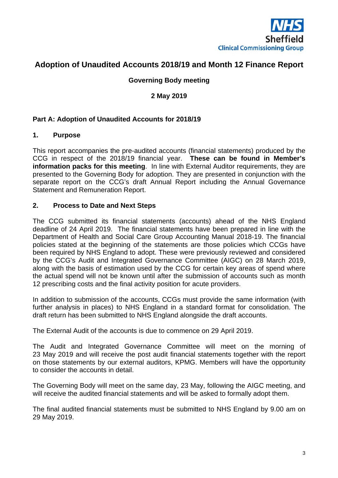

# **Adoption of Unaudited Accounts 2018/19 and Month 12 Finance Report**

#### **Governing Body meeting**

#### **2 May 2019**

#### **Part A: Adoption of Unaudited Accounts for 2018/19**

#### **1. Purpose**

This report accompanies the pre-audited accounts (financial statements) produced by the CCG in respect of the 2018/19 financial year. **These can be found in Member's information packs for this meeting**. In line with External Auditor requirements, they are presented to the Governing Body for adoption. They are presented in conjunction with the separate report on the CCG's draft Annual Report including the Annual Governance Statement and Remuneration Report.

#### **2. Process to Date and Next Steps**

The CCG submitted its financial statements (accounts) ahead of the NHS England deadline of 24 April 2019. The financial statements have been prepared in line with the Department of Health and Social Care Group Accounting Manual 2018-19. The financial policies stated at the beginning of the statements are those policies which CCGs have been required by NHS England to adopt. These were previously reviewed and considered by the CCG's Audit and Integrated Governance Committee (AIGC) on 28 March 2019, along with the basis of estimation used by the CCG for certain key areas of spend where the actual spend will not be known until after the submission of accounts such as month 12 prescribing costs and the final activity position for acute providers.

In addition to submission of the accounts, CCGs must provide the same information (with further analysis in places) to NHS England in a standard format for consolidation. The draft return has been submitted to NHS England alongside the draft accounts.

The External Audit of the accounts is due to commence on 29 April 2019.

The Audit and Integrated Governance Committee will meet on the morning of 23 May 2019 and will receive the post audit financial statements together with the report on those statements by our external auditors, KPMG. Members will have the opportunity to consider the accounts in detail.

The Governing Body will meet on the same day, 23 May, following the AIGC meeting, and will receive the audited financial statements and will be asked to formally adopt them.

The final audited financial statements must be submitted to NHS England by 9.00 am on 29 May 2019.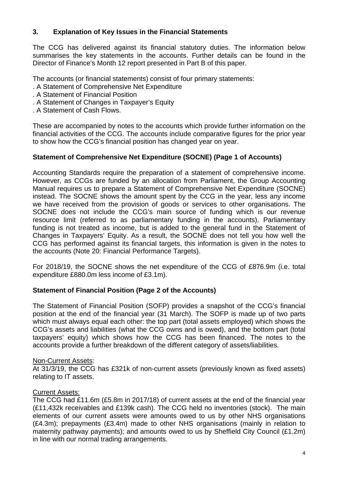## **3. Explanation of Key Issues in the Financial Statements**

The CCG has delivered against its financial statutory duties. The information below summarises the key statements in the accounts. Further details can be found in the Director of Finance's Month 12 report presented in Part B of this paper.

The accounts (or financial statements) consist of four primary statements:

- . A Statement of Comprehensive Net Expenditure
- . A Statement of Financial Position
- . A Statement of Changes in Taxpayer's Equity
- . A Statement of Cash Flows.

These are accompanied by notes to the accounts which provide further information on the financial activities of the CCG. The accounts include comparative figures for the prior year to show how the CCG's financial position has changed year on year.

# **Statement of Comprehensive Net Expenditure (SOCNE) (Page 1 of Accounts)**

Accounting Standards require the preparation of a statement of comprehensive income. However, as CCGs are funded by an allocation from Parliament, the Group Accounting Manual requires us to prepare a Statement of Comprehensive Net Expenditure (SOCNE) instead. The SOCNE shows the amount spent by the CCG in the year, less any income we have received from the provision of goods or services to other organisations. The SOCNE does not include the CCG's main source of funding which is our revenue resource limit (referred to as parliamentary funding in the accounts). Parliamentary funding is not treated as income, but is added to the general fund in the Statement of Changes in Taxpayers' Equity. As a result, the SOCNE does not tell you how well the CCG has performed against its financial targets, this information is given in the notes to the accounts (Note 20: Financial Performance Targets).

For 2018/19, the SOCNE shows the net expenditure of the CCG of £876.9m (i.e. total expenditure £880.0m less income of £3.1m).

# **Statement of Financial Position (Page 2 of the Accounts)**

The Statement of Financial Position (SOFP) provides a snapshot of the CCG's financial position at the end of the financial year (31 March). The SOFP is made up of two parts which must always equal each other: the top part (total assets employed) which shows the CCG's assets and liabilities (what the CCG owns and is owed), and the bottom part (total taxpayers' equity) which shows how the CCG has been financed. The notes to the accounts provide a further breakdown of the different category of assets/liabilities.

## Non-Current Assets:

At 31/3/19, the CCG has £321k of non-current assets (previously known as fixed assets) relating to IT assets.

## Current Assets:

The CCG had £11.6m (£5.8m in 2017/18) of current assets at the end of the financial year (£11,432k receivables and £139k cash). The CCG held no inventories (stock). The main elements of our current assets were amounts owed to us by other NHS organisations (£4.3m); prepayments (£3.4m) made to other NHS organisations (mainly in relation to maternity pathway payments); and amounts owed to us by Sheffield City Council (£1.2m) in line with our normal trading arrangements.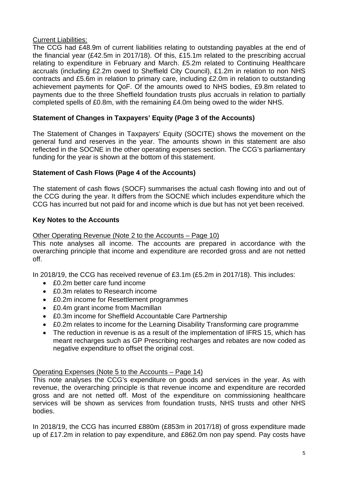#### Current Liabilities:

The CCG had £48.9m of current liabilities relating to outstanding payables at the end of the financial year (£42.5m in 2017/18). Of this, £15.1m related to the prescribing accrual relating to expenditure in February and March. £5.2m related to Continuing Healthcare accruals (including £2.2m owed to Sheffield City Council), £1.2m in relation to non NHS contracts and £5.6m in relation to primary care, including £2.0m in relation to outstanding achievement payments for QoF. Of the amounts owed to NHS bodies, £9.8m related to payments due to the three Sheffield foundation trusts plus accruals in relation to partially completed spells of £0.8m, with the remaining £4.0m being owed to the wider NHS.

## **Statement of Changes in Taxpayers' Equity (Page 3 of the Accounts)**

The Statement of Changes in Taxpayers' Equity (SOCITE) shows the movement on the general fund and reserves in the year. The amounts shown in this statement are also reflected in the SOCNE in the other operating expenses section. The CCG's parliamentary funding for the year is shown at the bottom of this statement.

#### **Statement of Cash Flows (Page 4 of the Accounts)**

The statement of cash flows (SOCF) summarises the actual cash flowing into and out of the CCG during the year. It differs from the SOCNE which includes expenditure which the CCG has incurred but not paid for and income which is due but has not yet been received.

#### **Key Notes to the Accounts**

#### Other Operating Revenue (Note 2 to the Accounts – Page 10)

This note analyses all income. The accounts are prepared in accordance with the overarching principle that income and expenditure are recorded gross and are not netted off.

In 2018/19, the CCG has received revenue of £3.1m (£5.2m in 2017/18). This includes:

- £0.2m better care fund income
- £0.3m relates to Research income
- £0.2m income for Resettlement programmes
- £0.4m grant income from Macmillan
- £0.3m income for Sheffield Accountable Care Partnership
- £0.2m relates to income for the Learning Disability Transforming care programme
- The reduction in revenue is as a result of the implementation of IFRS 15, which has meant recharges such as GP Prescribing recharges and rebates are now coded as negative expenditure to offset the original cost.

#### Operating Expenses (Note 5 to the Accounts – Page 14)

This note analyses the CCG's expenditure on goods and services in the year. As with revenue, the overarching principle is that revenue income and expenditure are recorded gross and are not netted off. Most of the expenditure on commissioning healthcare services will be shown as services from foundation trusts, NHS trusts and other NHS bodies.

In 2018/19, the CCG has incurred £880m (£853m in 2017/18) of gross expenditure made up of £17.2m in relation to pay expenditure, and £862.0m non pay spend. Pay costs have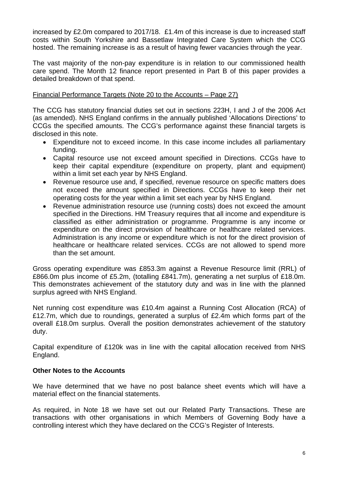increased by £2.0m compared to 2017/18. £1.4m of this increase is due to increased staff costs within South Yorkshire and Bassetlaw Integrated Care System which the CCG hosted. The remaining increase is as a result of having fewer vacancies through the year.

The vast majority of the non-pay expenditure is in relation to our commissioned health care spend. The Month 12 finance report presented in Part B of this paper provides a detailed breakdown of that spend.

#### Financial Performance Targets (Note 20 to the Accounts – Page 27)

The CCG has statutory financial duties set out in sections 223H, I and J of the 2006 Act (as amended). NHS England confirms in the annually published 'Allocations Directions' to CCGs the specified amounts. The CCG's performance against these financial targets is disclosed in this note.

- Expenditure not to exceed income. In this case income includes all parliamentary funding.
- Capital resource use not exceed amount specified in Directions. CCGs have to keep their capital expenditure (expenditure on property, plant and equipment) within a limit set each year by NHS England.
- Revenue resource use and, if specified, revenue resource on specific matters does not exceed the amount specified in Directions. CCGs have to keep their net operating costs for the year within a limit set each year by NHS England.
- Revenue administration resource use (running costs) does not exceed the amount specified in the Directions. HM Treasury requires that all income and expenditure is classified as either administration or programme. Programme is any income or expenditure on the direct provision of healthcare or healthcare related services. Administration is any income or expenditure which is not for the direct provision of healthcare or healthcare related services. CCGs are not allowed to spend more than the set amount.

Gross operating expenditure was £853.3m against a Revenue Resource limit (RRL) of £866.0m plus income of £5.2m, (totalling £841.7m), generating a net surplus of £18.0m. This demonstrates achievement of the statutory duty and was in line with the planned surplus agreed with NHS England.

Net running cost expenditure was £10.4m against a Running Cost Allocation (RCA) of £12.7m, which due to roundings, generated a surplus of £2.4m which forms part of the overall £18.0m surplus. Overall the position demonstrates achievement of the statutory duty.

Capital expenditure of £120k was in line with the capital allocation received from NHS England.

#### **Other Notes to the Accounts**

We have determined that we have no post balance sheet events which will have a material effect on the financial statements.

As required, in Note 18 we have set out our Related Party Transactions. These are transactions with other organisations in which Members of Governing Body have a controlling interest which they have declared on the CCG's Register of Interests.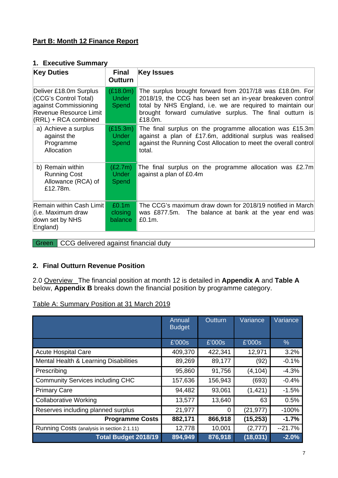# **Part B: Month 12 Finance Report**

#### **1. Executive Summary**

| <b>Key Duties</b>                                                                                                            | <b>Final</b><br><b>Outturn</b>          | <b>Key Issues</b>                                                                                                                                                                                                                                           |
|------------------------------------------------------------------------------------------------------------------------------|-----------------------------------------|-------------------------------------------------------------------------------------------------------------------------------------------------------------------------------------------------------------------------------------------------------------|
| Deliver £18.0m Surplus<br>(CCG's Control Total)<br>against Commissioning<br>Revenue Resource Limit<br>$(RRL) + RCA$ combined | (E18.0m)<br><b>Under</b><br>Spend       | The surplus brought forward from 2017/18 was £18.0m. For<br>2018/19, the CCG has been set an in-year breakeven control<br>total by NHS England, i.e. we are required to maintain our<br>brought forward cumulative surplus. The final outturn is<br>£18.0m. |
| a) Achieve a surplus<br>against the<br>Programme<br>Allocation                                                               | (E15.3m)<br><b>Under</b><br>Spend       | The final surplus on the programme allocation was £15.3m<br>against a plan of £17.6m, additional surplus was realised<br>against the Running Cost Allocation to meet the overall control<br>total.                                                          |
| b) Remain within<br><b>Running Cost</b><br>Allowance (RCA) of<br>£12.78m.                                                    | (E2.7m)<br><b>Under</b><br>Spend        | The final surplus on the programme allocation was £2.7m<br>against a plan of £0.4m                                                                                                                                                                          |
| Remain within Cash Limit<br>(i.e. Maximum draw<br>down set by NHS<br>England)                                                | £0.1 <sub>m</sub><br>closing<br>balance | The CCG's maximum draw down for 2018/19 notified in March<br>was £877.5m. The balance at bank at the year end was<br>£0.1m.                                                                                                                                 |

Green CCG delivered against financial duty

## **2. Final Outturn Revenue Position**

2.0 Overview The financial position at month 12 is detailed in **Appendix A** and **Table A**  below, **Appendix B** breaks down the financial position by programme category.

Table A: Summary Position at 31 March 2019

|                                            | Annual<br><b>Budget</b> | <b>Outturn</b> | Variance  | Variance |
|--------------------------------------------|-------------------------|----------------|-----------|----------|
|                                            | £'000s                  | £'000s         | E'000s    | $\%$     |
| <b>Acute Hospital Care</b>                 | 409,370                 | 422,341        | 12,971    | 3.2%     |
| Mental Health & Learning Disabilities      | 89,269                  | 89,177         | (92)      | $-0.1%$  |
| Prescribing                                | 95,860                  | 91,756         | (4, 104)  | $-4.3%$  |
| <b>Community Services including CHC</b>    | 157,636                 | 156,943        | (693)     | $-0.4%$  |
| <b>Primary Care</b>                        | 94,482                  | 93,061         | (1, 421)  | $-1.5%$  |
| <b>Collaborative Working</b>               | 13,577                  | 13,640         | 63        | 0.5%     |
| Reserves including planned surplus         | 21,977                  | 0              | (21, 977) | $-100%$  |
| <b>Programme Costs</b>                     | 882,171                 | 866,918        | (15, 253) | $-1.7%$  |
| Running Costs (analysis in section 2.1.11) | 12,778                  | 10,001         | (2,777)   | $-21.7%$ |
| Total Budget 2018/19                       | 894,949                 | 876,918        | (18, 031) | $-2.0%$  |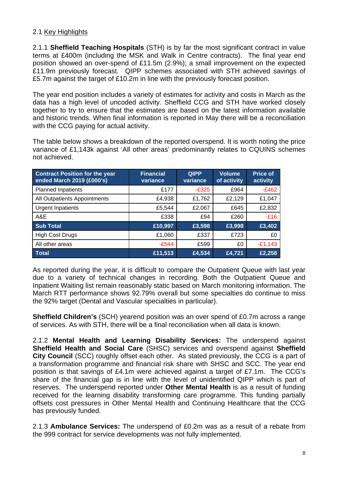# 2.1 Key Highlights

2.1.1 **Sheffield Teaching Hospitals** (STH) is by far the most significant contract in value terms at £400m (including the MSK and Walk in Centre contracts). The final year end position showed an over-spend of £11.5m (2.9%); a small improvement on the expected £11.9m previously forecast. QIPP schemes associated with STH achieved savings of £5.7m against the target of £10.2m in line with the previously forecast position.

The year end position includes a variety of estimates for activity and costs in March as the data has a high level of uncoded activity. Sheffield CCG and STH have worked closely together to try to ensure that the estimates are based on the latest information available and historic trends. When final information is reported in May there will be a reconciliation with the CCG paying for actual activity.

The table below shows a breakdown of the reported overspend. It is worth noting the price variance of £1,143k against 'All other areas' predominantly relates to CQUINS schemes not achieved.

| <b>Contract Position for the year</b><br>ended March 2019 (£000's) | <b>Financial</b><br>variance | <b>QIPP</b><br>variance | <b>Volume</b><br>of activity | <b>Price of</b><br>activity |
|--------------------------------------------------------------------|------------------------------|-------------------------|------------------------------|-----------------------------|
| <b>Planned Inpatients</b>                                          | £177                         | $-E325$                 | £964                         | $-E462$                     |
| All Outpatients Appointments                                       | £4,938                       | £1,762                  | £2,129                       | £1,047                      |
| <b>Urgent Inpatients</b>                                           | £5,544                       | £2,067                  | £645                         | £2,832                      |
| A&E                                                                | £338                         | £94                     | £260                         | $-E16$                      |
| <b>Sub Total</b>                                                   | £10,997                      | £3,598                  | £3,998                       | £3,402                      |
| <b>High Cost Drugs</b>                                             | £1,060                       | £337                    | £723                         | £0                          |
| All other areas                                                    | $-E544$                      | £599                    | £0                           | $-E1,143$                   |
| <b>Total</b>                                                       | £11,513                      | £4,534                  | £4,721                       | £2,258                      |

As reported during the year, it is difficult to compare the Outpatient Queue with last year due to a variety of technical changes in recording. Both the Outpatient Queue and Inpatient Waiting list remain reasonably static based on March monitoring information. The March RTT performance shows 92.79% overall but some specialties do continue to miss the 92% target (Dental and Vascular specialties in particular).

**Sheffield Children's** (SCH) yearend position was an over spend of £0.7m across a range of services. As with STH, there will be a final reconciliation when all data is known.

2.1.2 **Mental Health and Learning Disability Services:** The underspend against **Sheffield Health and Social Care** (SHSC) services and overspend against **Sheffield City Council** (SCC) roughly offset each other. As stated previously, the CCG is a part of a transformation programme and financial risk share with SHSC and SCC. The year end position is that savings of £4.1m were achieved against a target of £7.1m. The CCG's share of the financial gap is in line with the level of unidentified QIPP which is part of reserves. The underspend reported under **Other Mental Health** is as a result of funding received for the learning disability transforming care programme. This funding partially offsets cost pressures in Other Mental Health and Continuing Healthcare that the CCG has previously funded.

2.1.3 **Ambulance Services:** The underspend of £0.2m was as a result of a rebate from the 999 contract for service developments was not fully implemented.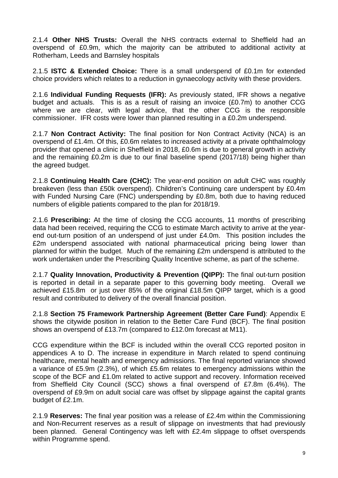2.1.4 **Other NHS Trusts:** Overall the NHS contracts external to Sheffield had an overspend of £0.9m, which the majority can be attributed to additional activity at Rotherham, Leeds and Barnsley hospitals

2.1.5 **ISTC & Extended Choice:** There is a small underspend of £0.1m for extended choice providers which relates to a reduction in gynaecology activity with these providers.

2.1.6 **Individual Funding Requests (IFR):** As previously stated, IFR shows a negative budget and actuals. This is as a result of raising an invoice (£0.7m) to another CCG where we are clear, with legal advice, that the other CCG is the responsible commissioner. IFR costs were lower than planned resulting in a £0.2m underspend.

2.1.7 **Non Contract Activity:** The final position for Non Contract Activity (NCA) is an overspend of £1.4m. Of this, £0.6m relates to increased activity at a private ophthalmology provider that opened a clinic in Sheffield in 2018, £0.6m is due to general growth in activity and the remaining £0.2m is due to our final baseline spend (2017/18) being higher than the agreed budget.

2.1.8 **Continuing Health Care (CHC):** The year-end position on adult CHC was roughly breakeven (less than £50k overspend). Children's Continuing care underspent by £0.4m with Funded Nursing Care (FNC) underspending by £0.8m, both due to having reduced numbers of eligible patients compared to the plan for 2018/19.

2.1.6 **Prescribing:** At the time of closing the CCG accounts, 11 months of prescribing data had been received, requiring the CCG to estimate March activity to arrive at the yearend out-turn position of an underspend of just under £4.0m. This position includes the £2m underspend associated with national pharmaceutical pricing being lower than planned for within the budget. Much of the remaining £2m underspend is attributed to the work undertaken under the Prescribing Quality Incentive scheme, as part of the scheme.

2.1.7 **Quality Innovation, Productivity & Prevention (QIPP):** The final out-turn position is reported in detail in a separate paper to this governing body meeting. Overall we achieved £15.8m or just over 85% of the original £18.5m QIPP target, which is a good result and contributed to delivery of the overall financial position.

2.1.8 **Section 75 Framework Partnership Agreement (Better Care Fund)**: Appendix E shows the citywide position in relation to the Better Care Fund (BCF). The final position shows an overspend of £13.7m (compared to £12.0m forecast at M11).

CCG expenditure within the BCF is included within the overall CCG reported positon in appendices A to D. The increase in expenditure in March related to spend continuing healthcare, mental health and emergency admissions. The final reported variance showed a variance of £5.9m (2.3%), of which £5.6m relates to emergency admissions within the scope of the BCF and £1.0m related to active support and recovery. Information received from Sheffield City Council (SCC) shows a final overspend of £7.8m (6.4%). The overspend of £9.9m on adult social care was offset by slippage against the capital grants budget of £2.1m.

2.1.9 **Reserves:** The final year position was a release of £2.4m within the Commissioning and Non-Recurrent reserves as a result of slippage on investments that had previously been planned. General Contingency was left with £2.4m slippage to offset overspends within Programme spend.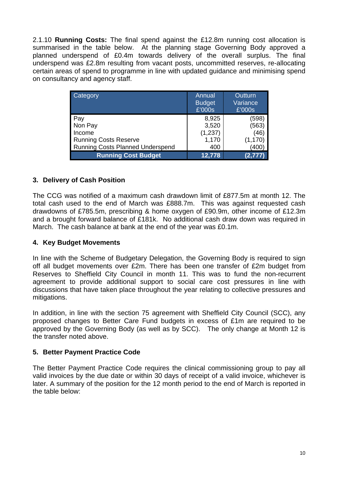2.1.10 **Running Costs:** The final spend against the £12.8m running cost allocation is summarised in the table below. At the planning stage Governing Body approved a planned underspend of £0.4m towards delivery of the overall surplus. The final underspend was £2.8m resulting from vacant posts, uncommitted reserves, re-allocating certain areas of spend to programme in line with updated guidance and minimising spend on consultancy and agency staff.

| Category                                | Annual<br><b>Budget</b><br>£'000s | Outturn<br>Variance<br>£'000s |
|-----------------------------------------|-----------------------------------|-------------------------------|
| Pay                                     | 8,925                             | (598)                         |
| Non Pay                                 | 3,520                             | (563                          |
| Income                                  | (1,237)                           | (46                           |
| <b>Running Costs Reserve</b>            | 1,170                             | (1,170                        |
| <b>Running Costs Planned Underspend</b> | 400                               | (400                          |
| <b>Running Cost Budget</b>              | 12,778                            | (2.777                        |

## **3. Delivery of Cash Position**

The CCG was notified of a maximum cash drawdown limit of £877.5m at month 12. The total cash used to the end of March was £888.7m. This was against requested cash drawdowns of £785.5m, prescribing & home oxygen of £90.9m, other income of £12.3m and a brought forward balance of £181k. No additional cash draw down was required in March. The cash balance at bank at the end of the year was £0.1m.

#### **4. Key Budget Movements**

In line with the Scheme of Budgetary Delegation, the Governing Body is required to sign off all budget movements over £2m. There has been one transfer of £2m budget from Reserves to Sheffield City Council in month 11. This was to fund the non-recurrent agreement to provide additional support to social care cost pressures in line with discussions that have taken place throughout the year relating to collective pressures and mitigations.

In addition, in line with the section 75 agreement with Sheffield City Council (SCC), any proposed changes to Better Care Fund budgets in excess of £1m are required to be approved by the Governing Body (as well as by SCC). The only change at Month 12 is the transfer noted above.

## **5. Better Payment Practice Code**

The Better Payment Practice Code requires the clinical commissioning group to pay all valid invoices by the due date or within 30 days of receipt of a valid invoice, whichever is later. A summary of the position for the 12 month period to the end of March is reported in the table below: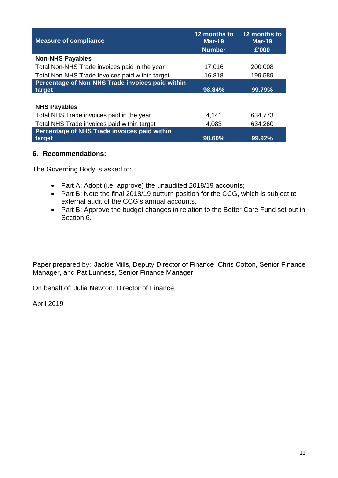| <b>Measure of compliance</b>                     | 12 months to<br><b>Mar-19</b><br><b>Number</b> | 12 months to<br><b>Mar-19</b><br>£'000 |
|--------------------------------------------------|------------------------------------------------|----------------------------------------|
| <b>Non-NHS Payables</b>                          |                                                |                                        |
| Total Non-NHS Trade invoices paid in the year    | 17,016                                         | 200,008                                |
| Total Non-NHS Trade Invoices paid within target  | 16,818                                         | 199,589                                |
| Percentage of Non-NHS Trade invoices paid within |                                                |                                        |
| target                                           | 98.84%                                         | 99.79%                                 |
|                                                  |                                                |                                        |
| <b>NHS Payables</b>                              |                                                |                                        |
| Total NHS Trade invoices paid in the year        | 4,141                                          | 634,773                                |
| Total NHS Trade invoices paid within target      | 4,083                                          | 634,260                                |
| Percentage of NHS Trade invoices paid within     |                                                |                                        |
| target                                           | 98.60%                                         | 99.92%                                 |

## **6. Recommendations:**

The Governing Body is asked to:

- Part A: Adopt (i.e. approve) the unaudited 2018/19 accounts;
- Part B: Note the final 2018/19 outturn position for the CCG, which is subject to external audit of the CCG's annual accounts.
- Part B: Approve the budget changes in relation to the Better Care Fund set out in Section 6.

Paper prepared by: Jackie Mills, Deputy Director of Finance, Chris Cotton, Senior Finance Manager, and Pat Lunness, Senior Finance Manager

On behalf of: Julia Newton, Director of Finance

April 2019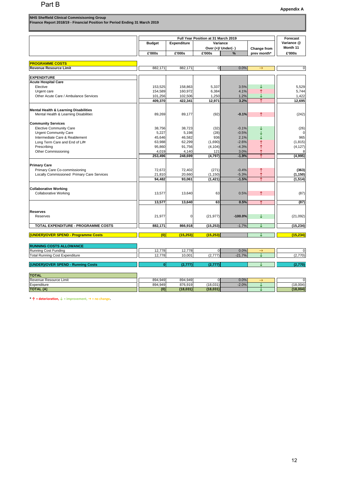| NHS Sheffield Clinical Commisisoning Group<br>Finance Report 2018/19 - Financial Position for Period Ending 31 March 2019 |
|---------------------------------------------------------------------------------------------------------------------------|
|                                                                                                                           |

|                                                                                           |                    |                    |               | Full Year Position at 31 March 2019 |               |               |
|-------------------------------------------------------------------------------------------|--------------------|--------------------|---------------|-------------------------------------|---------------|---------------|
|                                                                                           | <b>Budget</b>      | <b>Expenditure</b> |               | Variance                            |               | Variance @    |
|                                                                                           |                    |                    |               | Over (+)/ Under(-)                  | Change from   | Month 11      |
|                                                                                           | £'000s             | £'000s             | £'000s        | %                                   | prev month*   | £'000s        |
|                                                                                           |                    |                    |               |                                     |               |               |
| <b>PROGRAMME COSTS</b>                                                                    |                    |                    |               |                                     |               |               |
| <b>Revenue Resource Limit</b>                                                             | 882,171            | 882,171            | $\mathbf 0$   | 0.0%                                | $\rightarrow$ | $\pmb{0}$     |
| <b>EXPENDITURE</b>                                                                        |                    |                    |               |                                     |               |               |
| <b>Acute Hospital Care</b>                                                                |                    |                    |               |                                     |               |               |
| Elective                                                                                  | 153,525            | 158,863            | 5,337         | 3.5%                                |               | 5,529         |
| Urgent care                                                                               | 154,589            | 160,972            | 6,384         | 4.1%                                | ↑             | 5,744         |
| Other Acute Care / Ambulance Services                                                     | 101,256            | 102,506            | 1,250         | 1.2%                                |               | 1,422         |
|                                                                                           | 409,370            | 422,341            | 12,971        | 3.2%                                | ↑             | 12,695        |
|                                                                                           |                    |                    |               |                                     |               |               |
| <b>Mental Health &amp; Learning Disabilities</b><br>Mental Health & Learning Disabilities | 89,269             | 89,177             |               | $-0.1%$                             | ↑             |               |
|                                                                                           |                    |                    | (92)          |                                     |               | (242)         |
| <b>Community Services</b>                                                                 |                    |                    |               |                                     |               |               |
| <b>Elective Community Care</b>                                                            | 38,756             | 38.723             | (32)          | $-0.1%$                             |               | (26)          |
| <b>Urgent Community Care</b>                                                              | 5,227              | 5,198              | (28)          | $-0.5%$                             |               | 0             |
| Intermediate Care & Reablement                                                            | 45,646             | 46,582             | 936           | 2.1%                                |               | 965           |
| Long Term Care and End of Life                                                            | 63,988             | 62,299             | (1,690)       | $-2.6%$                             | $\uparrow$    | (1, 815)      |
| Prescribing                                                                               | 95,860             | 91,756             | (4, 104)      | $-4.3%$                             | ↑             | (4, 127)      |
| Other Commissioning                                                                       | 4,019              | 4,140              | 121           | 3.0%                                | ↑             | 8             |
|                                                                                           | 253,496            | 248,699            | (4,797)       | $-1.9%$                             | ↑             | (4,995)       |
|                                                                                           |                    |                    |               |                                     |               |               |
| <b>Primary Care</b>                                                                       |                    |                    |               |                                     |               |               |
| Primary Care Co-commissioning                                                             | 72,672             | 72,402             | (271)         | $-0.4%$                             | ↑             | (363)         |
| Locally Commissioned Primary Care Services                                                | 21,810             | 20.660             | (1, 150)      | $-5.3%$                             | ↑             | (1, 150)      |
|                                                                                           | 94,482             | 93,061             | (1, 421)      | $-1.5%$                             | ↑             | (1, 514)      |
| <b>Collaborative Working</b>                                                              |                    |                    |               |                                     |               |               |
| <b>Collaborative Working</b>                                                              | 13,577             | 13,640             | 63            | 0.5%                                | ↑             | (87)          |
|                                                                                           |                    |                    |               |                                     |               |               |
|                                                                                           | 13,577             | 13,640             | 63            | 0.5%                                | 个             | (87)          |
|                                                                                           |                    |                    |               |                                     |               |               |
| <b>Reserves</b>                                                                           |                    |                    |               | $-100.0%$                           |               |               |
| Reserves                                                                                  | 21,977             | 0                  | (21, 977)     |                                     | ↓             | (21,092)      |
| TOTAL EXPENDITURE - PROGRAMME COSTS                                                       | 882,171            | 866,918            | (15, 253)     | $-1.7%$                             | ↓             | (15, 234)     |
|                                                                                           | (0)                |                    |               |                                     | Τ             |               |
| (UNDER)/OVER SPEND - Programme Costs                                                      |                    | (15, 253)          | (15, 253)     |                                     |               | (15, 234)     |
| <b>RUNNING COSTS ALLOWANCE</b>                                                            |                    |                    |               |                                     |               |               |
| Running Cost Funding                                                                      | 12,778             | 12,778             | $\mathbf 0$   | 0.0%                                | $\rightarrow$ | $\mathbf 0$   |
| <b>Total Running Cost Expenditure</b>                                                     | 12,778             | 10,001             | (2, 777)      | $-21.7%$                            | J             | (2,770)       |
|                                                                                           |                    |                    |               |                                     |               |               |
| (UNDER)/OVER SPEND - Running Costs                                                        | $\mathbf{0}$       | (2, 777)           | (2, 777)      |                                     | ↓             | (2,770)       |
|                                                                                           |                    |                    |               |                                     |               |               |
| <b>TOTAL</b>                                                                              |                    |                    |               |                                     |               |               |
| Revenue Resource Limit<br>Expenditure                                                     | 894,949<br>894,949 | 894,949<br>876,919 | 0<br>(18,031) | 0.0%<br>$-2.0%$                     | →             | 0<br>(18,004) |
| <b>TOTAL (A)</b>                                                                          | (0)                | (18, 031)          | (18,031)      |                                     | ↓<br>Τ        | (18,004)      |
|                                                                                           |                    |                    |               |                                     |               |               |

**\* ↑ = deterioraƟon, ↓ = improvement, = no change.**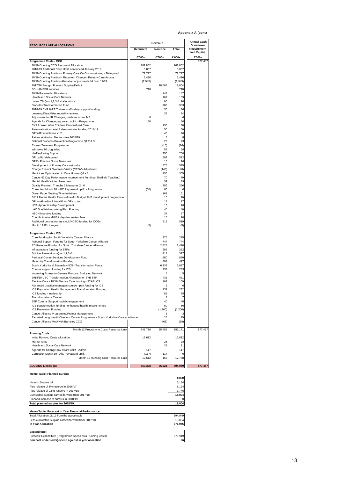**Appendix A (cont)** 

|                                                                                                         | Revenue   |              |                    | <b>Annual Cash</b>      |
|---------------------------------------------------------------------------------------------------------|-----------|--------------|--------------------|-------------------------|
| <b>RESOURCE LIMIT ALLOCATIONS</b>                                                                       |           | Non Rec      |                    | Drawdown<br>Requirement |
|                                                                                                         | Recurrent |              | Total              | incl Capital            |
| Programme Costs - CCG                                                                                   | £'000s    | £'000s       | £'000s             | £'000s<br>877,457       |
| 18/19 Opening CCG Recurrent Allocation                                                                  | 761,852   |              | 761,852            |                         |
| 2018-19 Additional Cash Uplift announced January 2018                                                   | 5,867     |              | 5,867              |                         |
| 18/19 Opening Position - Primary Care Co Commissioning - Delegated                                      | 77.727    |              | 77,727             |                         |
| 18/19 Opening Position - Recurrent Change - Primary Care Access                                         | 3,496     |              | 3,496              |                         |
| 18/19 Opening Position Allocation adjustments b/f from 17/18<br>2017/18 Brought Forward Surplus/Deficit | (2,945)   | 18,004       | (2, 945)<br>18,004 |                         |
| <b>SCH AMBER services</b>                                                                               | 718       |              | 718                |                         |
| 18/19 Paramedic Allocations                                                                             |           | 147          | 147                |                         |
| Health and Social Care Network                                                                          |           | 169          | 169                |                         |
| Latent TB Qtrs 1,2,3 & 4 allocations                                                                    |           | 90           | 90                 |                         |
| Diabetes Transformation Fund                                                                            |           | 983          | 983                |                         |
| 2018-19 CYP IAPT Trainee staff salary support funding                                                   |           | 36           | 36                 |                         |
| Learning Disabilities mortality reviews                                                                 |           | 34           | 34                 |                         |
| Adjustment for IR Changes, made recurrent M5                                                            | 6         |              | 6                  |                         |
| Agenda for Change pay award uplift - Programme                                                          | 60        |              | 60                 |                         |
| CYP Looked After Children Personalised Care<br>Personalisation Level 2 demonstrator funding 2018/19     |           | 130<br>50    | 130<br>50          |                         |
| GP WIFI maintence Yr 2                                                                                  |           | 46           | 46                 |                         |
| Patient Activation Mentor sites 2018/19                                                                 |           | 8            | 8                  |                         |
| National Diabetes Prevention Programme Q1,2 & 3                                                         |           | 23           | 23                 |                         |
| <b>Excess Treament Programme</b>                                                                        |           | (16)         | (16)               |                         |
| Windows 10 Upgrades                                                                                     |           | 58           | 58                 |                         |
| <b>Hadfield Wing Support</b>                                                                            |           | 750          | 750                |                         |
| GP Uplift - delegated                                                                                   |           | 592          | 592                |                         |
| <b>GPFV Practice Nurse Measures</b>                                                                     |           | 16           | 16                 |                         |
| Development of Primary Care networks                                                                    |           | 575          | 575                |                         |
| Charge Exempt Overseas Visitor (CEOV) Adjustment<br>Medicines Optimisation in Care Homes Q1 - 4         |           | (148)<br>355 | (148)<br>355       |                         |
| Cancer 62 Day Performance Improvement Funding (Sheffield Teaching)                                      |           | 70           | 70                 |                         |
| Mental Health Winter Pressures                                                                          |           | 39           | 39                 |                         |
| Quality Premium Tranche 1 Measures 2 - 6                                                                |           | 256          | 256                |                         |
| Correction Month 10 - AfC Pay award uplift - Programme                                                  | (60)      | 60           | $\Omega$           |                         |
| Green Paper Waiting Time Initiatives                                                                    |           | 161          | 161                |                         |
| S117 Mental Health Personal health Budget PHB development programme                                     |           | 10           | 10                 |                         |
| GP workload tool backfill for GPs to test                                                               |           | 17           | 17                 |                         |
| <b>HCA Apprenticeship Development</b>                                                                   |           | 16           | 16                 |                         |
| LAC Sheffield remaining Flexi Funding                                                                   |           | 40           | 40                 |                         |
| <b>HSCN</b> incentive funding<br>Contribution to MHIS indepdent review fees                             |           | 37<br>10     | 37<br>10           |                         |
| Additional concessionary stock/NCSO funding for CCGs                                                    |           | 519          | 519                |                         |
| Month 12 IR changes                                                                                     | (5)       |              | (5)                |                         |
|                                                                                                         |           |              |                    |                         |
| Programme Costs - ICS                                                                                   |           |              |                    |                         |
| Core Funding for South Yorkshire Cancer Alliance                                                        |           | 275          | 275                |                         |
| National Support Funding for South Yorkshire Cancer Alliance                                            |           | 744          | 744                |                         |
| ED Revenue Funding for South Yorkshire Cancer Alliance<br>Infrastructure funding for STPs               |           | 2,428<br>282 | 2,428<br>282       |                         |
| Suicide Prevention - Qtrs 1,2,3 & 4                                                                     |           | 317          | 317                |                         |
| Perinatal Comm Services Development Fund                                                                |           | 880          | 880                |                         |
| Maternity Transformation Funding                                                                        |           | 497          | 497                |                         |
| South Yorkshire & Bassetlaw ICS - Transformation Funds                                                  |           | 6,937        | 6,937              |                         |
| Comms support funding for ICS                                                                           |           | 233          | 233                |                         |
| Improving Access to General Practice: Buddying Network                                                  |           | 5            | 5                  |                         |
| 2018/19 UEC Transformation Allocation for SYB STP                                                       |           | 431          | 431                |                         |
| Elective Care - 18/19 Elective Care funding - SY&B ICS                                                  |           | 109          | 109                |                         |
| Advanced practice managers course - part funding for ICS                                                |           | 6            | 6                  |                         |
| ICS Population Health Management Transformation Funding                                                 |           | 232<br>85    | 232<br>85          |                         |
| ICS funding - leadership<br>Transformation - Cancer                                                     |           | 7            | 7                  |                         |
| STP Comms Support - public engagement                                                                   |           | 40           | 40                 |                         |
| ICS transformation funding - enhanced health in care homes                                              |           | 50           | 50                 |                         |
| ICS Prevention Funding                                                                                  |           | (1,200)      | (1, 200)           |                         |
| Cancer Alliance Programme/Project Management                                                            |           | э            | 3                  |                         |
| Targeted Lung Health Checks - Cancer Programme - South Yorkshire Cancer Alliance                        |           | 25           | 25                 |                         |
| Cancer Alliance MoU with Barnsley CCG                                                                   |           | (68)         | (68)               |                         |
| Month 12 Programme Costs Resource Limit                                                                 | 846,716   | 35,455       | 882,171            | 877,457                 |
| <b>Running Costs</b>                                                                                    |           |              |                    |                         |
| Initial Running Costs allocation                                                                        | 12,612    |              | 12,612             |                         |
| Market rents                                                                                            |           | 28           | 28                 |                         |
| Health and Social Care Network                                                                          |           | 21           | 21                 |                         |
| Agenda for Change pay award uplift - Admin                                                              | 117       |              | 117                |                         |
| Correction Month 10 - AfC Pay award uplift                                                              | (117)     | 117          | 0                  |                         |
| Month 12 Running Cost Resource Limit                                                                    | 12,612    | 166          | 12,778             |                         |
| <b>CLOSING LIMITS (B)</b>                                                                               | 859,328   | 35,621       | 894,949            | 877,457                 |
|                                                                                                         |           |              |                    |                         |
| Memo Table: Planned Surplus                                                                             |           |              |                    |                         |
| Historic Surplus b/f                                                                                    |           |              | £'000<br>6,134     |                         |
|                                                                                                         |           |              |                    |                         |

# Historic Surplus b/f 6,134<br>
Plus release of 1% reserve in 2016/17<br>
Cumulative surplus carried forward from 2017/18 3,746 **18,004 <sup>3,746</sup> 18,004**<br>
Planned increase to surplus in 2018/19 0 Total planned surplus for 2018/19 **18,004 18,004 Memo Table: Forecast In Year Financial Performance**  Total Allocation 18/19 from the above table 894,949 Less cumulative surplus carried forward from 2017/18 -18,004 **In Year Allocation** 876,945 **Expenditure:**  Forecast Expenditure (Programme Spend plus Running Costs) 876,919 **Forecast under/(over)-spend against in year allocation 26**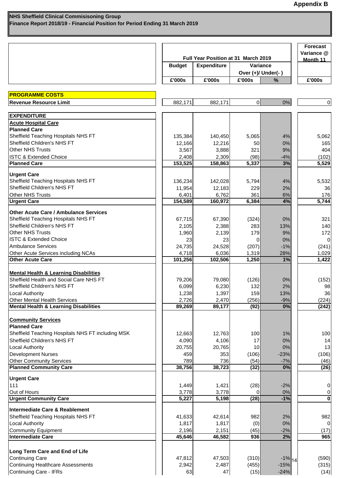|                                                   |               | Full Year Position at 31 March 2019 |                |                    |                 |  |
|---------------------------------------------------|---------------|-------------------------------------|----------------|--------------------|-----------------|--|
|                                                   | <b>Budget</b> | <b>Expenditure</b>                  |                | Variance           | Month 11        |  |
|                                                   |               |                                     |                | Over (+)/ Under(-) |                 |  |
|                                                   | £'000s        | £'000s                              | £'000s         | $\frac{0}{0}$      | £'000s          |  |
| <b>PROGRAMME COSTS</b>                            |               |                                     |                |                    |                 |  |
| <b>Revenue Resource Limit</b>                     | 882,171       | 882,171                             | $\overline{0}$ | 0%                 | $\overline{0}$  |  |
| <b>EXPENDITURE</b>                                |               |                                     |                |                    |                 |  |
| <b>Acute Hospital Care</b>                        |               |                                     |                |                    |                 |  |
| <b>Planned Care</b>                               |               |                                     |                |                    |                 |  |
| Sheffield Teaching Hospitals NHS FT               | 135,384       | 140,450                             | 5,065          | 4%                 | 5,062           |  |
| Sheffield Children's NHS FT                       | 12,166        | 12,216                              | 50             | 0%                 | 165             |  |
| <b>Other NHS Trusts</b>                           | 3,567         | 3,888                               | 321            | 9%                 | 404             |  |
| <b>ISTC &amp; Extended Choice</b>                 | 2,408         | 2,309                               | (98)           | $-4%$              | (102)           |  |
| <b>Planned Care</b>                               | 153,525       | 158,863                             | 5,337          | 3%                 | 5,529           |  |
| <b>Urgent Care</b>                                |               |                                     |                |                    |                 |  |
| Sheffield Teaching Hospitals NHS FT               | 136,234       | 142,028                             | 5,794          | 4%                 | 5,532           |  |
| Sheffield Children's NHS FT                       | 11,954        | 12,183                              | 229            | 2%                 | 36              |  |
| <b>Other NHS Trusts</b>                           | 6,401         | 6,762                               | 361            | 6%                 | 176             |  |
| <b>Urgent Care</b>                                | 154,589       | 160,972                             | 6,384          | 4%                 | 5,744           |  |
| <b>Other Acute Care / Ambulance Services</b>      |               |                                     |                |                    |                 |  |
| Sheffield Teaching Hospitals NHS FT               | 67,715        | 67,390                              | (324)          | 0%                 | 321             |  |
| Sheffield Children's NHS FT                       | 2,105         | 2,388                               | 283            | 13%                | 140             |  |
| <b>Other NHS Trusts</b>                           | 1,960         | 2,139                               | 179            | 9%                 | 172             |  |
| <b>ISTC &amp; Extended Choice</b>                 | 23            | 23                                  | 0              | 0%                 |                 |  |
| <b>Ambulance Services</b>                         | 24,735        | 24,528                              | (207)          | $-1%$              | (241)           |  |
| Other Acute Services including NCAs               | 4,718         | 6,036                               | 1,319          | 28%                | 1,029           |  |
| <b>Other Acute Care</b>                           | 101,256       | 102,506                             | 1,250          | 1%                 | 1,422           |  |
|                                                   |               |                                     |                |                    |                 |  |
| <b>Mental Health &amp; Learning Disabilities</b>  |               |                                     |                |                    |                 |  |
| Sheffield Health and Social Care NHS FT           | 79,206        | 79,080                              | (126)          | 0%                 | (152)           |  |
| Sheffield Children's NHS FT                       | 6,099         | 6,230                               | 132            | 2%                 | 98              |  |
| Local Authority                                   | 1,238         | 1,397                               | 159            | 13%                | 36 <sup>1</sup> |  |
| Other Mental Health Services                      | 2,726         | 2,470                               | (256)          | $-9%$              | (224)           |  |
| <b>Mental Health &amp; Learning Disabilities</b>  | 89,269        | 89,177                              | (92)           | 0%                 | (242)           |  |
| <b>Community Services</b>                         |               |                                     |                |                    |                 |  |
| <b>Planned Care</b>                               |               |                                     |                |                    |                 |  |
| Sheffield Teaching Hospitals NHS FT including MSK | 12,663        | 12,763                              | 100            | 1%                 | 100             |  |
| Sheffield Children's NHS FT                       | 4,090         | 4,106                               | 17             | 0%                 | 14              |  |
| <b>Local Authority</b>                            | 20,755        | 20,765                              | 10             | 0%                 | 13              |  |
| <b>Development Nurses</b>                         | 459           | 353                                 | (106)          | $-23%$             | (106)           |  |
| <b>Other Community Services</b>                   | 789           | 736                                 | (54)           | $-7%$              | (46)            |  |
| <b>Planned Community Care</b>                     | 38,756        | 38,723                              | (32)           | 0%                 | (26)            |  |
| <b>Urgent Care</b>                                |               |                                     |                |                    |                 |  |
| 111                                               | 1,449         | 1,421                               | (28)           | $-2%$              | 0               |  |
| Out of Hours                                      | 3,778         | 3,778                               | $\Omega$       | 0%                 | 0               |  |
| <b>Urgent Community Care</b>                      | 5,227         | 5,198                               | (28)           | $-1%$              | $\bf{0}$        |  |
| Intermediate Care & Reablement                    |               |                                     |                |                    |                 |  |
| Sheffield Teaching Hospitals NHS FT               | 41,633        | 42,614                              | 982            | 2%                 | 982             |  |
| <b>Local Authority</b>                            | 1,817         | 1,817                               | (0)            | 0%                 |                 |  |
| <b>Community Equipment</b>                        | 2,196         | 2,151                               | (45)           | $-2%$              | (17)            |  |
| <b>Intermediate Care</b>                          | 45,646        | 46,582                              | 936            | 2%                 | 965             |  |
|                                                   |               |                                     |                |                    |                 |  |
| Long Term Care and End of Life                    |               |                                     |                |                    |                 |  |
| <b>Continuing Care</b>                            | 47,812        | 47,503                              | (310)          | $-1\%$ 14          | (590)           |  |
| <b>Continuing Healthcare Assessments</b>          | 2,942         | 2,487                               | (455)          | $-15%$             | (315)           |  |
| <b>Continuing Care - IFRs</b>                     | 63            | 47                                  | (15)           | $-24%$             | (14)            |  |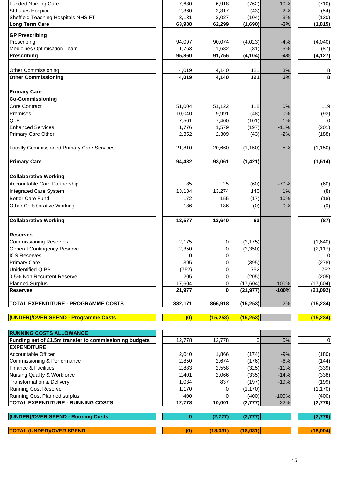| <b>Funded Nursing Care</b>                                     | 7,680          | 6,918          | (762)          | $-10%$         | (710)          |
|----------------------------------------------------------------|----------------|----------------|----------------|----------------|----------------|
| St Lukes Hospice                                               | 2,360          | 2,317          | (43)           | $-2%$          | (54)           |
| Sheffield Teaching Hospitals NHS FT                            | 3,131          | 3,027          | (104)          | $-3%$          | (130)          |
| <b>Long Term Care</b>                                          | 63,988         | 62,299         | (1,690)        | $-3%$          | (1, 815)       |
| <b>GP Prescribing</b>                                          |                |                |                |                |                |
| Prescribing                                                    | 94,097         | 90,074         | (4,023)        | $-4%$          | (4,040)        |
| <b>Medicines Optimisation Team</b>                             | 1,763          | 1,682          | (81)           | $-5%$          | (87)           |
| <b>Prescribing</b>                                             | 95,860         | 91,756         | (4, 104)       | $-4%$          | (4, 127)       |
|                                                                |                |                |                |                |                |
| Other Commissioning                                            | 4,019          | 4,140          | 121            | 3%             | 8              |
| <b>Other Commissioning</b>                                     | 4,019          | 4,140          | 121            | 3%             | $\bf8$         |
| <b>Primary Care</b>                                            |                |                |                |                |                |
| <b>Co-Commissioning</b>                                        |                |                |                |                |                |
| <b>Core Contract</b>                                           | 51,004         | 51,122         | 118            | 0%             | 119            |
| Premises                                                       | 10,040         | 9,991          | (48)           | 0%             | (93)           |
| QoF                                                            | 7,501          | 7,400          | (101)          | $-1%$          | $\overline{0}$ |
| <b>Enhanced Services</b>                                       | 1,776          | 1,579          | (197)          | $-11%$         | (201)          |
| Primary Care Other                                             | 2,352          | 2,309          | (43)           | $-2%$          | (188)          |
|                                                                |                |                |                |                |                |
| <b>Locally Commissioned Primary Care Services</b>              | 21,810         | 20,660         | (1, 150)       | $-5%$          | (1, 150)       |
| <b>Primary Care</b>                                            | 94,482         | 93,061         | (1, 421)       |                | (1, 514)       |
|                                                                |                |                |                |                |                |
| <b>Collaborative Working</b>                                   |                |                |                |                |                |
| Accountable Care Partnership                                   | 85             | 25             | (60)           | $-70%$         | (60)           |
| Integrated Care System                                         | 13,134         | 13,274         | 140            | $1\%$          | (8)            |
| <b>Better Care Fund</b>                                        | 172            | 155            | (17)           | $-10%$         | (18)           |
| <b>Other Collaborative Working</b>                             | 186            | 186            | (0)            | 0%             | (0)            |
|                                                                |                |                |                |                |                |
| <b>Collaborative Working</b>                                   | 13,577         | 13,640         | 63             |                | (87)           |
| <b>Reserves</b>                                                |                |                |                |                |                |
| <b>Commissioning Reserves</b>                                  | 2,175          | 0              | (2, 175)       |                | (1,640)        |
| <b>General Contingency Reserve</b>                             | 2,350          | 0              | (2,350)        |                | (2, 117)       |
| <b>ICS Reserves</b>                                            | $\overline{0}$ | $\overline{0}$ | $\overline{0}$ |                | $\overline{0}$ |
| <b>Primary Care</b>                                            | 395            | 0              | (395)          |                | (278)          |
| <b>Unidentified QIPP</b>                                       | (752)          | 0              | 752            |                | 752            |
| 0.5% Non Recurrent Reserve                                     | 205            | 0              | (205)          |                | (205)          |
| <b>Planned Surplus</b>                                         | 17,604         | 0              | (17, 604)      | $-100%$        | (17,604)       |
| <b>Reserves</b>                                                | 21,977         | $\bf{0}$       | (21, 977)      | $-100%$        | (21, 092)      |
|                                                                |                |                |                |                |                |
| <b>TOTAL EXPENDITURE - PROGRAMME COSTS</b>                     | 882,171        | 866,918        | (15, 253)      | $-2%$          | (15, 234)      |
| (UNDER)/OVER SPEND - Programme Costs                           | (0)            | (15, 253)      | (15, 253)      |                | (15, 234)      |
|                                                                |                |                |                |                |                |
| <b>RUNNING COSTS ALLOWANCE</b>                                 |                |                |                |                |                |
| Funding net of £1.5m transfer to commissioning budgets         | 12,778         | 12,778         | $\overline{0}$ | 0%             | $\pmb{0}$      |
| <b>EXPENDITURE</b>                                             |                |                |                |                |                |
| <b>Accountable Officer</b>                                     | 2,040<br>2,850 | 1,866          | (174)          | $-9%$<br>$-6%$ | (180)          |
| Commissioning & Performance<br><b>Finance &amp; Facilities</b> | 2,883          | 2,674<br>2,558 | (176)<br>(325) | $-11%$         | (144)<br>(339) |
| Nursing, Quality & Workforce                                   | 2,401          | 2,066          | (335)          | $-14%$         | (338)          |
| <b>Transformation &amp; Delivery</b>                           | 1,034          | 837            | (197)          | $-19%$         | (199)          |
| <b>Running Cost Reserve</b>                                    | 1,170          | 0              | (1, 170)       |                | (1, 170)       |
| Running Cost Planned surplus                                   | 400            |                | (400)          | $-100%$        | (400)          |
| <b>TOTAL EXPENDITURE - RUNNING COSTS</b>                       | 12,778         | 10,001         | (2,777)        | $-22%$         | (2,770)        |
|                                                                |                |                |                |                |                |
| (UNDER)/OVER SPEND - Running Costs                             | $\mathbf{0}$   | (2, 777)       | (2, 777)       |                | (2,770)        |

**TOTAL (UNDER)/OVER SPEND (0) (18,031) (18,031) - (18,004)**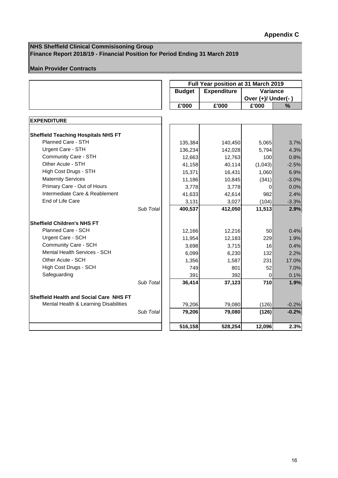#### **NHS Sheffield Clinical Commisisoning Group Finance Report 2018/19 - Financial Position for Period Ending 31 March 2019**

## **Main Provider Contracts**

|                                            |           | Full Year position at 31 March 2019 |                    |                    |         |  |  |  |
|--------------------------------------------|-----------|-------------------------------------|--------------------|--------------------|---------|--|--|--|
|                                            |           | <b>Budget</b>                       | <b>Expenditure</b> | Variance           |         |  |  |  |
|                                            |           |                                     |                    | Over (+)/ Under(-) |         |  |  |  |
|                                            |           | £'000                               | £'000              | £'000              | %       |  |  |  |
|                                            |           |                                     |                    |                    |         |  |  |  |
| <b>EXPENDITURE</b>                         |           |                                     |                    |                    |         |  |  |  |
| <b>Sheffield Teaching Hospitals NHS FT</b> |           |                                     |                    |                    |         |  |  |  |
| Planned Care - STH                         |           | 135,384                             | 140,450            | 5,065              | 3.7%    |  |  |  |
| Urgent Care - STH                          |           | 136,234                             | 142,028            | 5,794              | 4.3%    |  |  |  |
| Community Care - STH                       |           | 12,663                              | 12,763             | 100                | 0.8%    |  |  |  |
| Other Acute - STH                          |           | 41,158                              | 40,114             | (1,043)            | $-2.5%$ |  |  |  |
| High Cost Drugs - STH                      |           | 15,371                              | 16,431             | 1,060              | 6.9%    |  |  |  |
| <b>Maternity Services</b>                  |           | 11,186                              | 10,845             | (341)              | $-3.0%$ |  |  |  |
| Primary Care - Out of Hours                |           | 3,778                               | 3,778              | 0                  | 0.0%    |  |  |  |
| Intermediate Care & Reablement             |           | 41,633                              | 42,614             | 982                | 2.4%    |  |  |  |
| End of Life Care                           |           | 3,131                               | 3,027              | (104)              | $-3.3%$ |  |  |  |
|                                            | Sub Total | 400,537                             | 412,050            | 11,513             | 2.9%    |  |  |  |
| <b>Sheffield Children's NHS FT</b>         |           |                                     |                    |                    |         |  |  |  |
| Planned Care - SCH                         |           | 12,166                              | 12,216             | 50                 | 0.4%    |  |  |  |
| Urgent Care - SCH                          |           | 11,954                              | 12,183             | 229                | 1.9%    |  |  |  |
| Community Care - SCH                       |           | 3,698                               | 3,715              | 16                 | 0.4%    |  |  |  |
| Mental Health Services - SCH               |           | 6,099                               | 6,230              | 132                | 2.2%    |  |  |  |
| Other Acute - SCH                          |           | 1,356                               | 1,587              | 231                | 17.0%   |  |  |  |
| High Cost Drugs - SCH                      |           | 749                                 | 801                | 52                 | 7.0%    |  |  |  |
| Safeguarding                               |           | 391                                 | 392                | 0                  | 0.1%    |  |  |  |
|                                            | Sub Total | 36,414                              | 37,123             | 710                | 1.9%    |  |  |  |
| Sheffield Health and Social Care NHS FT    |           |                                     |                    |                    |         |  |  |  |
| Mental Health & Learning Disabilities      |           | 79,206                              | 79,080             | (126)              | $-0.2%$ |  |  |  |
|                                            | Sub Total | 79,206                              | 79,080             | (126)              | $-0.2%$ |  |  |  |
|                                            |           | 516,158                             | 528,254            | 12,096             | 2.3%    |  |  |  |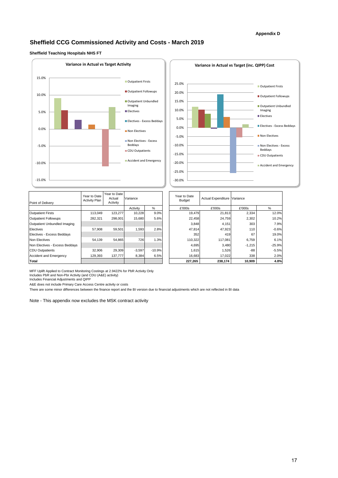#### **Appendix D**

#### **Sheffield CCG Commissioned Activity and Costs - March 2019**

#### **Sheffield Teaching Hospitals NHS FT**





| Point of Delivery              | Year to Date<br><b>Activity Plan</b> | Year to Date<br>Actual<br>Activity | Variance |          |
|--------------------------------|--------------------------------------|------------------------------------|----------|----------|
|                                |                                      |                                    | Activity | %        |
| <b>Outpatient Firsts</b>       | 113,049                              | 123,277                            | 10,228   | 9.0%     |
| <b>Outpatient Followups</b>    | 282.321                              | 298,001                            | 15,680   | 5.6%     |
| Outpatient Unbundled Imaging   |                                      |                                    |          |          |
| Electives                      | 57.908                               | 59.501                             | 1.593    | 2.8%     |
| Electives - Excess Beddays     |                                      |                                    |          |          |
| Non Electives                  | 54,139                               | 54.865                             | 726      | 1.3%     |
| Non Electives - Excess Beddays |                                      |                                    |          |          |
| <b>CDU Outpatients</b>         | 32,906                               | 29,309                             | $-3,597$ | $-10.9%$ |
| <b>Accident and Emergency</b>  | 129,393                              | 137.777                            | 8,384    | 6.5%     |
| Total                          |                                      |                                    |          |          |

| Year to Date<br><b>Budget</b> | <b>Actual Expenditure</b> | Variance |          |
|-------------------------------|---------------------------|----------|----------|
| £'000s                        | £'000s                    | £'000s   | $\%$     |
| 19,479                        | 21,813                    | 2,334    | 12.0%    |
| 22,458                        | 24,759                    | 2,302    | 10.2%    |
| 3,848                         | 4,151                     | 303      | 7.9%     |
| 47,814                        | 47,923                    | 110      | $-0.6%$  |
| 352                           | 419                       | 67       | 19.0%    |
| 110,322                       | 117,081                   | 6,759    | 6.1%     |
| 4,695                         | 3,480                     | $-1,215$ | $-25.9%$ |
| 1,615                         | 1,526                     | $-88$    | $-5.5%$  |
| 16,683                        | 17,022                    | 338      | 2.0%     |
| 227,265                       | 238,174                   | 10,909   | 4.8%     |

MFF Uplift Applied to Contract Monitoring Costings at 2.9422% for PbR Activity Only Includes PbR and Non-Pbr Activity (and CDU (A&E) activity) Includes Financial Adjustments and QIPP

A&E does not include Primary Care Access Centre activity or costs

There are some minor differences between the finance report and the BI version due to financial adjustments which are not reflected in BI data

Note - This appendix now excludes the MSK contract activity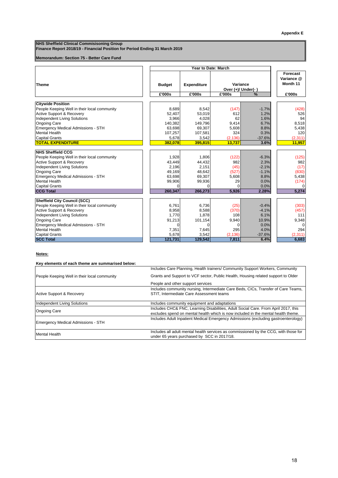**NHS Sheffield Clinical Commisisoning Group** 

**Finance Report 2018/19 - Financial Position for Period Ending 31 March 2019** 

#### **Memorandum: Section 75 - Better Care Fund**

|                                              | Year to Date: March |                    |                    |          |            |
|----------------------------------------------|---------------------|--------------------|--------------------|----------|------------|
|                                              |                     |                    |                    |          | Forecast   |
|                                              |                     |                    |                    |          | Variance @ |
| <b>Theme</b>                                 | <b>Budget</b>       | <b>Expenditure</b> |                    | Variance | Month 11   |
|                                              |                     |                    | Over (+)/ Under(-) |          |            |
|                                              | £'000s              | £'000s             | £'000s             | %        | £'000s     |
|                                              |                     |                    |                    |          |            |
| <b>Citywide Position</b>                     |                     |                    |                    |          |            |
| People Keeping Well in their local community | 8,689               | 8,542              | (147)              | $-1.7%$  | (428)      |
| <b>Active Support &amp; Recovery</b>         | 52.407              | 53.019             | 612                | 1.2%     | 526        |
| <b>Independent Living Solutions</b>          | 3.966               | 4.028              | 62                 | 1.6%     | 94         |
| <b>Ongoing Care</b>                          | 140,382             | 149,796            | 9,414              | 6.7%     | 8,518      |
| <b>Emergency Medical Admissions - STH</b>    | 63,698              | 69,307             | 5,608              | 8.8%     | 5,438      |
| <b>Mental Health</b>                         | 107,257             | 107,581            | 324                | 0.3%     | 120        |
| <b>Capital Grants</b>                        | 5,678               | 3,542              | (2, 136)           | $-37.6%$ | (2,311)    |
| <b>TOTAL EXPENDITURE</b>                     | 382.078             | 395.815            | 13.737             | 3.6%     | 11,957     |
| <b>NHS Sheffield CCG</b>                     |                     |                    |                    |          |            |
| People Keeping Well in their local community | 1,928               | 1.806              | (122)              | $-6.3%$  | (125)      |
| <b>Active Support &amp; Recovery</b>         | 43,449              | 44,432             | 982                | 2.3%     | 982        |
| <b>Independent Living Solutions</b>          | 2.196               | 2.151              | (45)               | $-2.1%$  | (17)       |
|                                              |                     | 48,642             | (527)              | $-1.1%$  | (830)      |
| <b>Ongoing Care</b>                          | 49,169              |                    |                    |          |            |
| <b>Emergency Medical Admissions - STH</b>    | 63,698              | 69,307             | 5,608              | 8.8%     | 5,438      |
| <b>Mental Health</b>                         | 99,906              | 99,936             | 29                 | 0.0%     | (174)      |
| <b>Capital Grants</b>                        | $\Omega$            | $\Omega$           | $\Omega$           | 0.0%     |            |
| <b>CCG Total</b>                             | 260,347             | 266.273            | 5,926              | 2.28%    | 5,274      |
| <b>Sheffield City Council (SCC)</b>          |                     |                    |                    |          |            |
| People Keeping Well in their local community | 6.761               | 6,736              | (25)               | $-0.4%$  | (303)      |
| <b>Active Support &amp; Recovery</b>         | 8,958               | 8,588              | (370)              | $-4.1%$  | (457)      |
| <b>Independent Living Solutions</b>          | 1.770               | 1,878              | 108                | 6.1%     | 111        |
| <b>Ongoing Care</b>                          | 91,213              | 101,154            | 9,940              | 10.9%    | 9,348      |
| <b>Emergency Medical Admissions - STH</b>    | $\Omega$            |                    | $\Omega$           | 0.0%     |            |
| <b>Mental Health</b>                         | 7,351               | 7.645              | 295                | 4.0%     | 294        |
| <b>Capital Grants</b>                        | 5,678               | 3.542              | (2, 136)           | $-37.6%$ | (2, 311)   |
| <b>SCC Total</b>                             | 121,731             | 129,542            | 7,811              | 6.4%     | 6,683      |

#### **Notes:**

| Key elements of each theme are summarised below: |                                                                                                                                                                    |  |  |  |
|--------------------------------------------------|--------------------------------------------------------------------------------------------------------------------------------------------------------------------|--|--|--|
|                                                  | Includes Care Planning, Health trainers/ Community Support Workers, Community<br>Grants and Support to VCF sector, Public Health, Housing related support to Older |  |  |  |
| People Keeping Well in their local community     |                                                                                                                                                                    |  |  |  |
|                                                  | People and other support services                                                                                                                                  |  |  |  |
|                                                  | Includes community nursing, Intermediate Care Beds, CICs, Transfer of Care Teams,                                                                                  |  |  |  |
| <b>Active Support &amp; Recovery</b>             | STIT, Intermediate Care Assessment teams                                                                                                                           |  |  |  |
|                                                  |                                                                                                                                                                    |  |  |  |
| Independent Living Solutions                     | Includes community equipment and adaptations                                                                                                                       |  |  |  |
|                                                  | Includes CHC& FNC, Learning Disabilities, Adult Social Care. From April 2017, this                                                                                 |  |  |  |
| <b>Ongoing Care</b>                              | excludes spend on mental health which is now included in the mental health theme.                                                                                  |  |  |  |
| Emergency Medical Admissions - STH               | Includes Adult Inpatient Medical Emergency Admissions (excluding gastroenterology)                                                                                 |  |  |  |
| <b>Mental Health</b>                             | Includes all adult mental health services as commissioned by the CCG, with those for                                                                               |  |  |  |